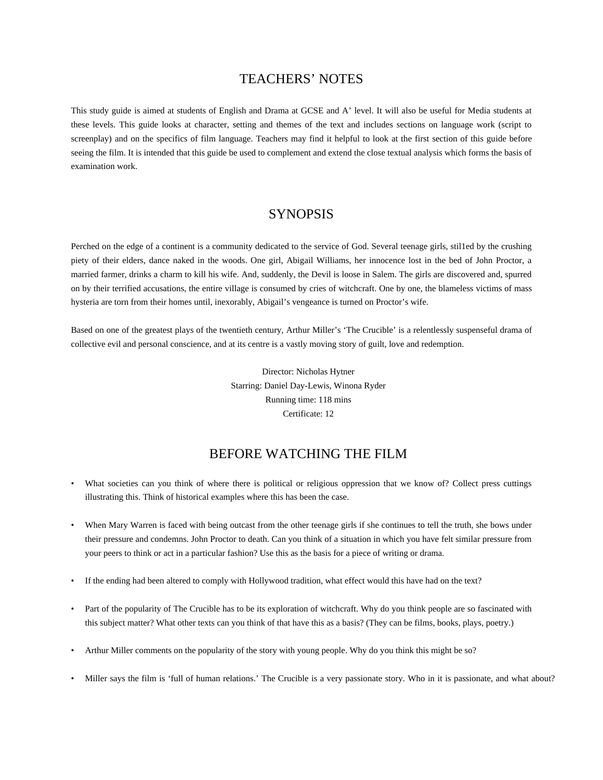## TEACHERS' NOTES

This study guide is aimed at students of English and Drama at GCSE and A' level. It will also be useful for Media students at these levels. This guide looks at character, setting and themes of the text and includes sections on language work (script to screenplay) and on the specifics of film language. Teachers may find it helpful to look at the first section of this guide before seeing the film. It is intended that this guide be used to complement and extend the close textual analysis which forms the basis of examination work.

## **SYNOPSIS**

Perched on the edge of a continent is a community dedicated to the service of God. Several teenage girls, stil1ed by the crushing piety of their elders, dance naked in the woods. One girl, Abigail Williams, her innocence lost in the bed of John Proctor, a married farmer, drinks a charm to kill his wife. And, suddenly, the Devil is loose in Salem. The girls are discovered and, spurred on by their terrified accusations, the entire village is consumed by cries of witchcraft. One by one, the blameless victims of mass hysteria are torn from their homes until, inexorably, Abigail's vengeance is turned on Proctor's wife.

Based on one of the greatest plays of the twentieth century, Arthur Miller's 'The Crucible' is a relentlessly suspenseful drama of collective evil and personal conscience, and at its centre is a vastly moving story of guilt, love and redemption.

> Director: Nicholas Hytner Starring: Daniel Day-Lewis, Winona Ryder Running time: 118 mins Certificate: 12

# BEFORE WATCHING THE FILM

- What societies can you think of where there is political or religious oppression that we know of? Collect press cuttings illustrating this. Think of historical examples where this has been the case.
- When Mary Warren is faced with being outcast from the other teenage girls if she continues to tell the truth, she bows under their pressure and condemns. John Proctor to death. Can you think of a situation in which you have felt similar pressure from your peers to think or act in a particular fashion? Use this as the basis for a piece of writing or drama.
- If the ending had been altered to comply with Hollywood tradition, what effect would this have had on the text?
- Part of the popularity of The Crucible has to be its exploration of witchcraft. Why do you think people are so fascinated with this subject matter? What other texts can you think of that have this as a basis? (They can be films, books, plays, poetry.)
- Arthur Miller comments on the popularity of the story with young people. Why do you think this might be so?
- Miller says the film is 'full of human relations.' The Crucible is a very passionate story. Who in it is passionate, and what about?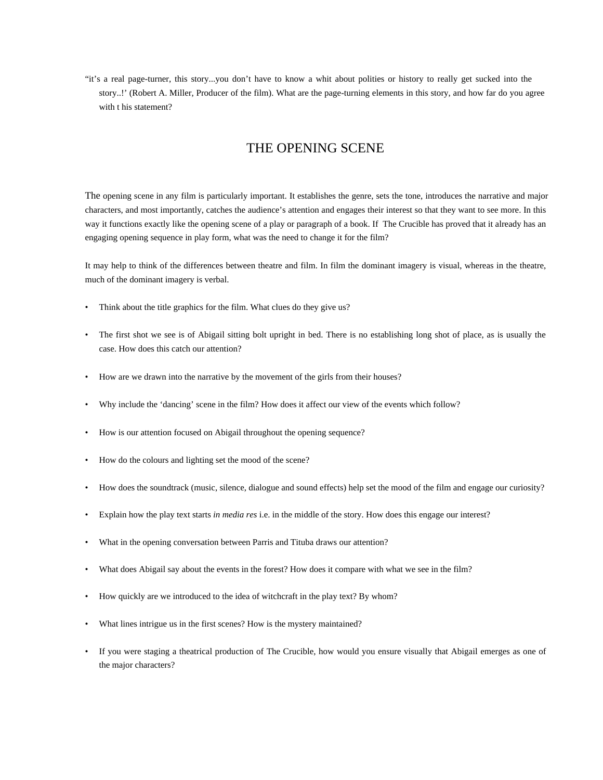"it's a real page-turner, this story...you don't have to know a whit about polities or history to really get sucked into the story..!' (Robert A. Miller, Producer of the film). What are the page-turning elements in this story, and how far do you agree with t his statement?

# THE OPENING SCENE

The opening scene in any film is particularly important. It establishes the genre, sets the tone, introduces the narrative and major characters, and most importantly, catches the audience's attention and engages their interest so that they want to see more. In this way it functions exactly like the opening scene of a play or paragraph of a book. If The Crucible has proved that it already has an engaging opening sequence in play form, what was the need to change it for the film?

It may help to think of the differences between theatre and film. In film the dominant imagery is visual, whereas in the theatre, much of the dominant imagery is verbal.

- Think about the title graphics for the film. What clues do they give us?
- The first shot we see is of Abigail sitting bolt upright in bed. There is no establishing long shot of place, as is usually the case. How does this catch our attention?
- How are we drawn into the narrative by the movement of the girls from their houses?
- Why include the 'dancing' scene in the film? How does it affect our view of the events which follow?
- How is our attention focused on Abigail throughout the opening sequence?
- How do the colours and lighting set the mood of the scene?
- How does the soundtrack (music, silence, dialogue and sound effects) help set the mood of the film and engage our curiosity?
- Explain how the play text starts *in media res* i.e. in the middle of the story. How does this engage our interest?
- What in the opening conversation between Parris and Tituba draws our attention?
- What does Abigail say about the events in the forest? How does it compare with what we see in the film?
- How quickly are we introduced to the idea of witchcraft in the play text? By whom?
- What lines intrigue us in the first scenes? How is the mystery maintained?
- If you were staging a theatrical production of The Crucible, how would you ensure visually that Abigail emerges as one of the major characters?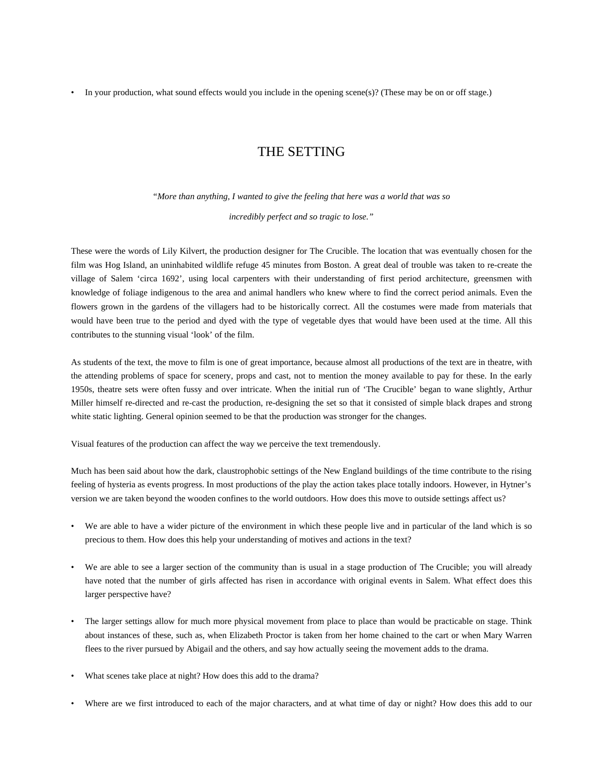• In your production, what sound effects would you include in the opening scene(s)? (These may be on or off stage.)

# THE SETTING

*"More than anything, I wanted to give the feeling that here was a world that was so*

*incredibly perfect and so tragic to lose."*

These were the words of Lily Kilvert, the production designer for The Crucible. The location that was eventually chosen for the film was Hog Island, an uninhabited wildlife refuge 45 minutes from Boston. A great deal of trouble was taken to re-create the village of Salem 'circa 1692', using local carpenters with their understanding of first period architecture, greensmen with knowledge of foliage indigenous to the area and animal handlers who knew where to find the correct period animals. Even the flowers grown in the gardens of the villagers had to be historically correct. All the costumes were made from materials that would have been true to the period and dyed with the type of vegetable dyes that would have been used at the time. All this contributes to the stunning visual 'look' of the film.

As students of the text, the move to film is one of great importance, because almost all productions of the text are in theatre, with the attending problems of space for scenery, props and cast, not to mention the money available to pay for these. In the early 1950s, theatre sets were often fussy and over intricate. When the initial run of 'The Crucible' began to wane slightly, Arthur Miller himself re-directed and re-cast the production, re-designing the set so that it consisted of simple black drapes and strong white static lighting. General opinion seemed to be that the production was stronger for the changes.

Visual features of the production can affect the way we perceive the text tremendously.

Much has been said about how the dark, claustrophobic settings of the New England buildings of the time contribute to the rising feeling of hysteria as events progress. In most productions of the play the action takes place totally indoors. However, in Hytner's version we are taken beyond the wooden confines to the world outdoors. How does this move to outside settings affect us?

- We are able to have a wider picture of the environment in which these people live and in particular of the land which is so precious to them. How does this help your understanding of motives and actions in the text?
- We are able to see a larger section of the community than is usual in a stage production of The Crucible; you will already have noted that the number of girls affected has risen in accordance with original events in Salem. What effect does this larger perspective have?
- The larger settings allow for much more physical movement from place to place than would be practicable on stage. Think about instances of these, such as, when Elizabeth Proctor is taken from her home chained to the cart or when Mary Warren flees to the river pursued by Abigail and the others, and say how actually seeing the movement adds to the drama.
- What scenes take place at night? How does this add to the drama?
- Where are we first introduced to each of the major characters, and at what time of day or night? How does this add to our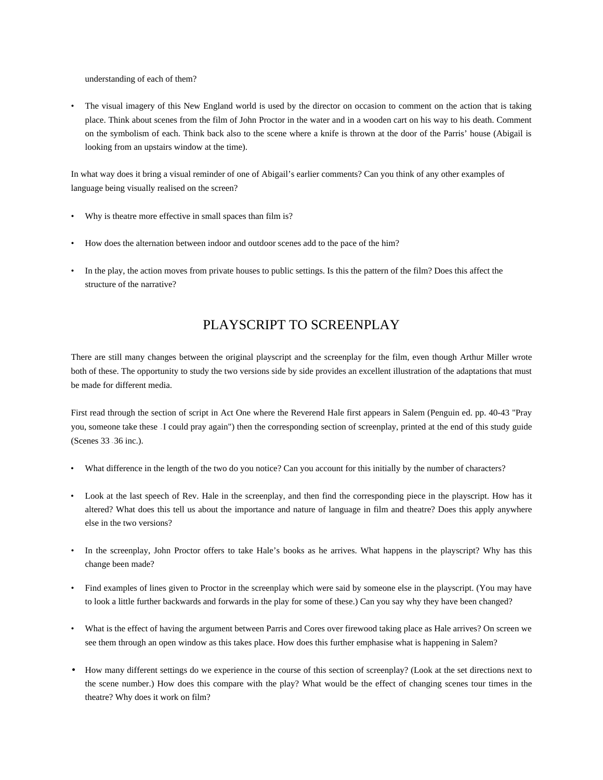understanding of each of them?

• The visual imagery of this New England world is used by the director on occasion to comment on the action that is taking place. Think about scenes from the film of John Proctor in the water and in a wooden cart on his way to his death. Comment on the symbolism of each. Think back also to the scene where a knife is thrown at the door of the Parris' house (Abigail is looking from an upstairs window at the time).

In what way does it bring a visual reminder of one of Abigail's earlier comments? Can you think of any other examples of language being visually realised on the screen?

- Why is theatre more effective in small spaces than film is?
- How does the alternation between indoor and outdoor scenes add to the pace of the him?
- In the play, the action moves from private houses to public settings. Is this the pattern of the film? Does this affect the structure of the narrative?

# PLAYSCRIPT TO SCREENPLAY

There are still many changes between the original playscript and the screenplay for the film, even though Arthur Miller wrote both of these. The opportunity to study the two versions side by side provides an excellent illustration of the adaptations that must be made for different media.

First read through the section of script in Act One where the Reverend Hale first appears in Salem (Penguin ed. pp. 40-43 "Pray you, someone take these  $\cdot$  I could pray again") then the corresponding section of screenplay, printed at the end of this study guide (Scenes 33 - 36 inc.).

- What difference in the length of the two do you notice? Can you account for this initially by the number of characters?
- Look at the last speech of Rev. Hale in the screenplay, and then find the corresponding piece in the playscript. How has it altered? What does this tell us about the importance and nature of language in film and theatre? Does this apply anywhere else in the two versions?
- In the screenplay, John Proctor offers to take Hale's books as he arrives. What happens in the playscript? Why has this change been made?
- Find examples of lines given to Proctor in the screenplay which were said by someone else in the playscript. (You may have to look a little further backwards and forwards in the play for some of these.) Can you say why they have been changed?
- What is the effect of having the argument between Parris and Cores over firewood taking place as Hale arrives? On screen we see them through an open window as this takes place. How does this further emphasise what is happening in Salem?
- How many different settings do we experience in the course of this section of screenplay? (Look at the set directions next to the scene number.) How does this compare with the play? What would be the effect of changing scenes tour times in the theatre? Why does it work on film?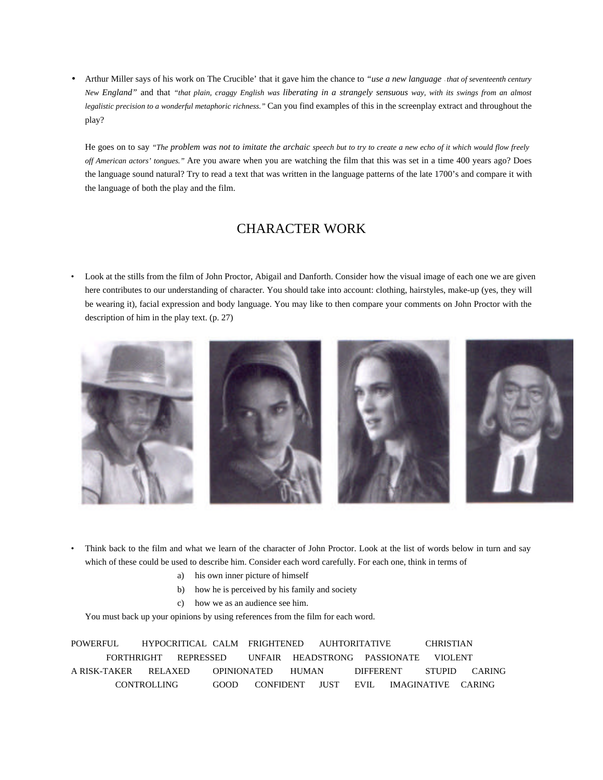• Arthur Miller says of his work on The Crucible' that it gave him the chance to *"use a new language* - *that of seventeenth century New England"* and that *"that plain, craggy English was liberating in a strangely sensuous way, with its swings from an almost legalistic precision to a wonderful metaphoric richness."* Can you find examples of this in the screenplay extract and throughout the play?

He goes on to say *"The problem was not to imitate the archaic speech but to try to create a new echo of it which would flow freely off American actors' tongues."* Are you aware when you are watching the film that this was set in a time 400 years ago? Does the language sound natural? Try to read a text that was written in the language patterns of the late 1700's and compare it with the language of both the play and the film.

# CHARACTER WORK

• Look at the stills from the film of John Proctor, Abigail and Danforth. Consider how the visual image of each one we are given here contributes to our understanding of character. You should take into account: clothing, hairstyles, make-up (yes, they will be wearing it), facial expression and body language. You may like to then compare your comments on John Proctor with the description of him in the play text. (p. 27)



- Think back to the film and what we learn of the character of John Proctor. Look at the list of words below in turn and say which of these could be used to describe him. Consider each word carefully. For each one, think in terms of
	- a) his own inner picture of himself
	- b) how he is perceived by his family and society
	- c) how we as an audience see him.

You must back up your opinions by using references from the film for each word.

POWERFUL HYPOCRITICAL CALM FRIGHTENED AUHTORITATIVE CHRISTIAN FORTHRIGHT REPRESSED UNFAIR HEADSTRONG PASSIONATE VIOLENT A RISK-TAKER RELAXED OPINIONATED HUMAN DIFFERENT STUPID CARING CONTROLLING GOOD CONFIDENT JUST EVIL IMAGINATIVE CARING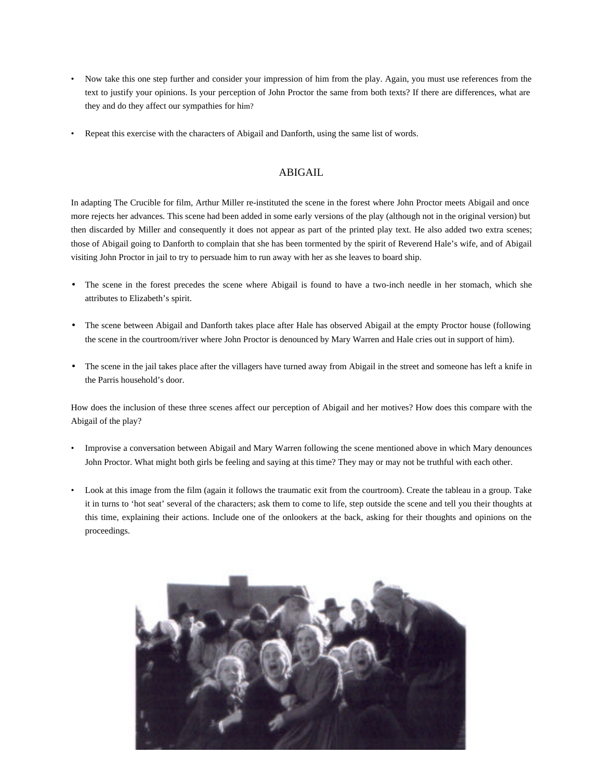- Now take this one step further and consider your impression of him from the play. Again, you must use references from the text to justify your opinions. Is your perception of John Proctor the same from both texts? If there are differences, what are they and do they affect our sympathies for him?
- Repeat this exercise with the characters of Abigail and Danforth, using the same list of words.

#### ABIGAIL

In adapting The Crucible for film, Arthur Miller re-instituted the scene in the forest where John Proctor meets Abigail and once more rejects her advances. This scene had been added in some early versions of the play (although not in the original version) but then discarded by Miller and consequently it does not appear as part of the printed play text. He also added two extra scenes; those of Abigail going to Danforth to complain that she has been tormented by the spirit of Reverend Hale's wife, and of Abigail visiting John Proctor in jail to try to persuade him to run away with her as she leaves to board ship.

- The scene in the forest precedes the scene where Abigail is found to have a two-inch needle in her stomach, which she attributes to Elizabeth's spirit.
- The scene between Abigail and Danforth takes place after Hale has observed Abigail at the empty Proctor house (following the scene in the courtroom/river where John Proctor is denounced by Mary Warren and Hale cries out in support of him).
- The scene in the jail takes place after the villagers have turned away from Abigail in the street and someone has left a knife in the Parris household's door.

How does the inclusion of these three scenes affect our perception of Abigail and her motives? How does this compare with the Abigail of the play?

- Improvise a conversation between Abigail and Mary Warren following the scene mentioned above in which Mary denounces John Proctor. What might both girls be feeling and saying at this time? They may or may not be truthful with each other.
- Look at this image from the film (again it follows the traumatic exit from the courtroom). Create the tableau in a group. Take it in turns to 'hot seat' several of the characters; ask them to come to life, step outside the scene and tell you their thoughts at this time, explaining their actions. Include one of the onlookers at the back, asking for their thoughts and opinions on the proceedings.

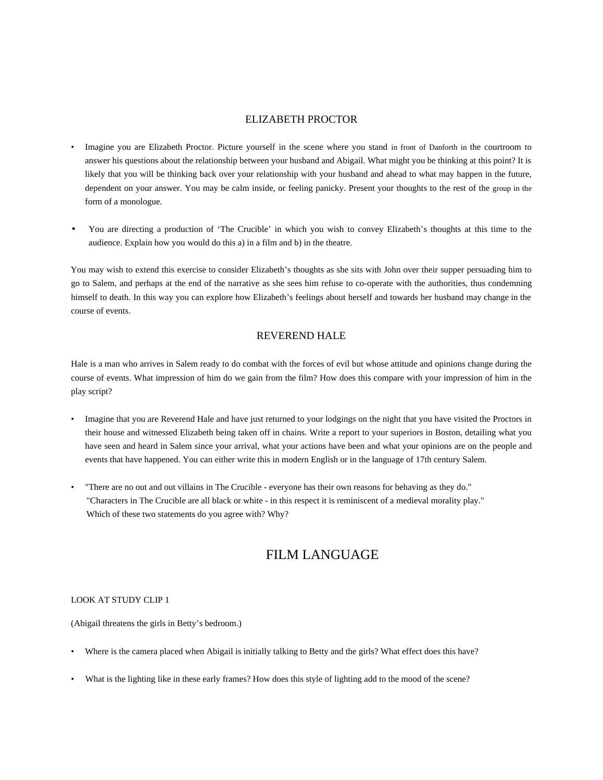### ELIZABETH PROCTOR

- Imagine you are Elizabeth Proctor. Picture yourself in the scene where you stand in front of Danforth in the courtroom to answer his questions about the relationship between your husband and Abigail. What might you be thinking at this point? It is likely that you will be thinking back over your relationship with your husband and ahead to what may happen in the future, dependent on your answer. You may be calm inside, or feeling panicky. Present your thoughts to the rest of the group in the form of a monologue.
- You are directing a production of 'The Crucible' in which you wish to convey Elizabeth's thoughts at this time to the audience. Explain how you would do this a) in a film and b) in the theatre.

You may wish to extend this exercise to consider Elizabeth's thoughts as she sits with John over their supper persuading him to go to Salem, and perhaps at the end of the narrative as she sees him refuse to co-operate with the authorities, thus condemning himself to death. In this way you can explore how Elizabeth's feelings about herself and towards her husband may change in the course of events.

## REVEREND HALE

Hale is a man who arrives in Salem ready to do combat with the forces of evil but whose attitude and opinions change during the course of events. What impression of him do we gain from the film? How does this compare with your impression of him in the play script?

- Imagine that you are Reverend Hale and have just returned to your lodgings on the night that you have visited the Proctors in their house and witnessed Elizabeth being taken off in chains. Write a report to your superiors in Boston, detailing what you have seen and heard in Salem since your arrival, what your actions have been and what your opinions are on the people and events that have happened. You can either write this in modern English or in the language of 17th century Salem.
- "There are no out and out villains in The Crucible everyone has their own reasons for behaving as they do." "Characters in The Crucible are all black or white - in this respect it is reminiscent of a medieval morality play." Which of these two statements do you agree with? Why?

# FILM LANGUAGE

#### LOOK AT STUDY CLIP 1

(Abigail threatens the girls in Betty's bedroom.)

- Where is the camera placed when Abigail is initially talking to Betty and the girls? What effect does this have?
- What is the lighting like in these early frames? How does this style of lighting add to the mood of the scene?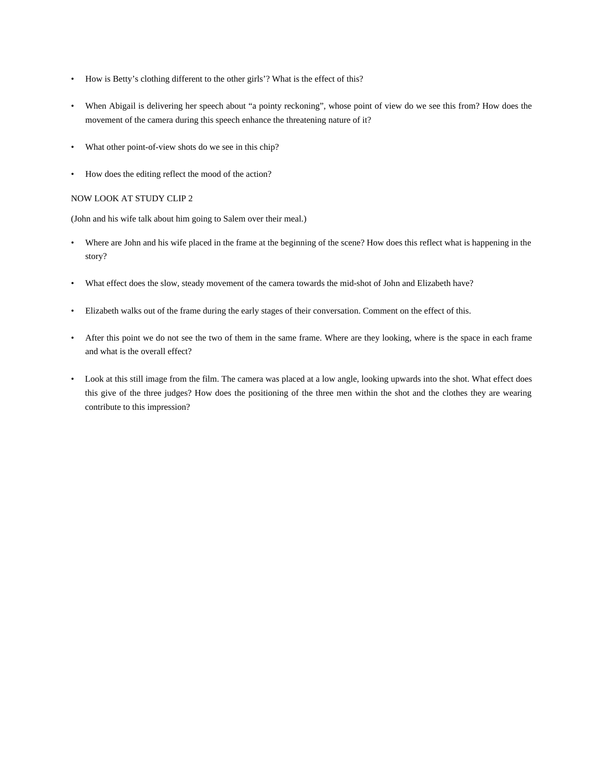- How is Betty's clothing different to the other girls'? What is the effect of this?
- When Abigail is delivering her speech about "a pointy reckoning", whose point of view do we see this from? How does the movement of the camera during this speech enhance the threatening nature of it?
- What other point-of-view shots do we see in this chip?
- How does the editing reflect the mood of the action?

#### NOW LOOK AT STUDY CLIP 2

(John and his wife talk about him going to Salem over their meal.)

- Where are John and his wife placed in the frame at the beginning of the scene? How does this reflect what is happening in the story?
- What effect does the slow, steady movement of the camera towards the mid-shot of John and Elizabeth have?
- Elizabeth walks out of the frame during the early stages of their conversation. Comment on the effect of this.
- After this point we do not see the two of them in the same frame. Where are they looking, where is the space in each frame and what is the overall effect?
- Look at this still image from the film. The camera was placed at a low angle, looking upwards into the shot. What effect does this give of the three judges? How does the positioning of the three men within the shot and the clothes they are wearing contribute to this impression?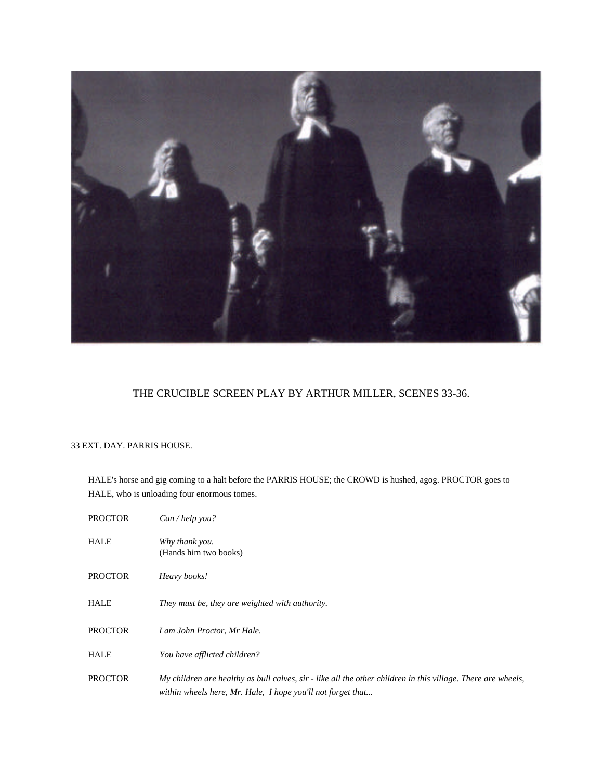

# THE CRUCIBLE SCREEN PLAY BY ARTHUR MILLER, SCENES 33-36.

### 33 EXT. DAY. PARRIS HOUSE.

HALE's horse and gig coming to a halt before the PARRIS HOUSE; the CROWD is hushed, agog. PROCTOR goes to HALE, who is unloading four enormous tomes.

| <b>PROCTOR</b> | Can / help you?                                                                                                                                                             |
|----------------|-----------------------------------------------------------------------------------------------------------------------------------------------------------------------------|
| HALE           | Why thank you.<br>(Hands him two books)                                                                                                                                     |
| <b>PROCTOR</b> | Heavy books!                                                                                                                                                                |
| <b>HALE</b>    | They must be, they are weighted with authority.                                                                                                                             |
| <b>PROCTOR</b> | I am John Proctor, Mr Hale.                                                                                                                                                 |
| <b>HALE</b>    | You have afflicted children?                                                                                                                                                |
| <b>PROCTOR</b> | My children are healthy as bull calves, sir - like all the other children in this village. There are wheels,<br>within wheels here, Mr. Hale, I hope you'll not forget that |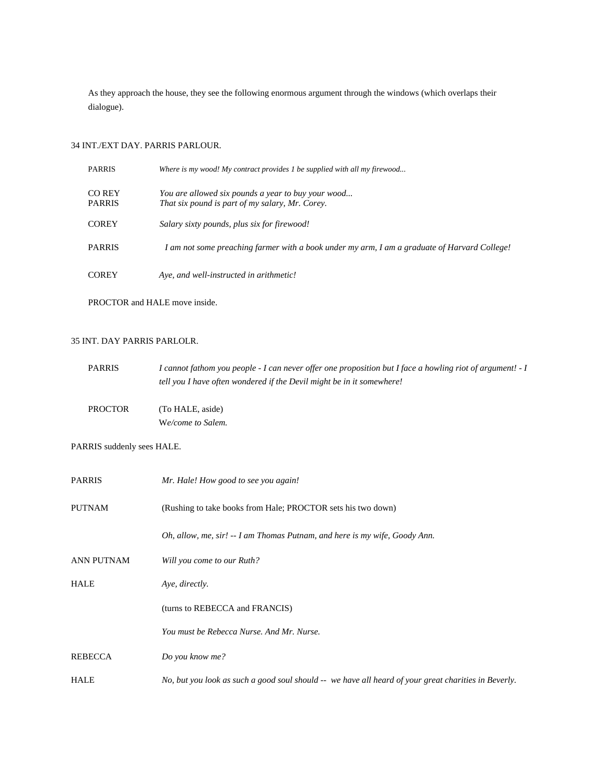As they approach the house, they see the following enormous argument through the windows (which overlaps their dialogue).

### 34 INT./EXT DAY. PARRIS PARLOUR.

| <b>PARRIS</b>                  | Where is my wood! My contract provides 1 be supplied with all my firewood                             |
|--------------------------------|-------------------------------------------------------------------------------------------------------|
| <b>CO REY</b><br><b>PARRIS</b> | You are allowed six pounds a year to buy your wood<br>That six pound is part of my salary, Mr. Corey. |
| <b>COREY</b>                   | Salary sixty pounds, plus six for firewood!                                                           |
| <b>PARRIS</b>                  | I am not some preaching farmer with a book under my arm, I am a graduate of Harvard College!          |
| <b>COREY</b>                   | Aye, and well-instructed in arithmetic!                                                               |

PROCTOR and HALE move inside.

## 35 INT. DAY PARRIS PARLOLR.

| <b>PARRIS</b>  | I cannot fathom you people - I can never offer one proposition but I face a howling riot of argument! - I |
|----------------|-----------------------------------------------------------------------------------------------------------|
|                | <i>tell you I have often wondered if the Devil might be in it somewhere!</i>                              |
|                |                                                                                                           |
| <b>PROCTOR</b> | (To HALE, aside)                                                                                          |
|                | We/come to Salem.                                                                                         |

## PARRIS suddenly sees HALE.

| <b>PARRIS</b>     | Mr. Hale! How good to see you again!                                                                 |
|-------------------|------------------------------------------------------------------------------------------------------|
| <b>PUTNAM</b>     | (Rushing to take books from Hale; PROCTOR sets his two down)                                         |
|                   | Oh, allow, me, sir! -- I am Thomas Putnam, and here is my wife, Goody Ann.                           |
| <b>ANN PUTNAM</b> | Will you come to our Ruth?                                                                           |
| <b>HALE</b>       | Aye, directly.                                                                                       |
|                   | (turns to REBECCA and FRANCIS)                                                                       |
|                   | You must be Rebecca Nurse, And Mr. Nurse,                                                            |
| REBECCA           | Do you know me?                                                                                      |
| <b>HALE</b>       | No, but you look as such a good soul should -- we have all heard of your great charities in Beverly. |